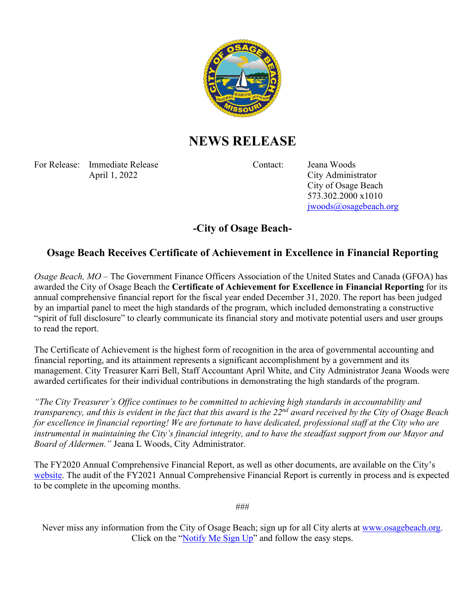

## **NEWS RELEASE**

For Release: Immediate Release Contact: Jeana Woods April 1, 2022 City Administrator

City of Osage Beach 573.302.2000 x1010 [jwoods@osagebeach.org](mailto:jwoods@osagebeach.org)

## **-City of Osage Beach-**

## **Osage Beach Receives Certificate of Achievement in Excellence in Financial Reporting**

*Osage Beach, MO* – The Government Finance Officers Association of the United States and Canada (GFOA) has awarded the City of Osage Beach the **Certificate of Achievement for Excellence in Financial Reporting** for its annual comprehensive financial report for the fiscal year ended December 31, 2020. The report has been judged by an impartial panel to meet the high standards of the program, which included demonstrating a constructive "spirit of full disclosure" to clearly communicate its financial story and motivate potential users and user groups to read the report.

The Certificate of Achievement is the highest form of recognition in the area of governmental accounting and financial reporting, and its attainment represents a significant accomplishment by a government and its management. City Treasurer Karri Bell, Staff Accountant April White, and City Administrator Jeana Woods were awarded certificates for their individual contributions in demonstrating the high standards of the program.

*"The City Treasurer's Office continues to be committed to achieving high standards in accountability and transparency, and this is evident in the fact that this award is the 22nd award received by the City of Osage Beach for excellence in financial reporting! We are fortunate to have dedicated, professional staff at the City who are instrumental in maintaining the City's financial integrity, and to have the steadfast support from our Mayor and Board of Aldermen."* Jeana L Woods, City Administrator.

The FY2020 Annual Comprehensive Financial Report, as well as other documents, are available on the City's [website.](https://osagebeach-mo.gov/407/Financial-Reports) The audit of the FY2021 Annual Comprehensive Financial Report is currently in process and is expected to be complete in the upcoming months.

###

Never miss any information from the City of Osage Beach; sign up for all City alerts at [www.osagebeach.org.](http://www.osagebeach.org/) Click on the ["Notify Me Sign Up"](https://osagebeach-mo.gov/list.aspx) and follow the easy steps.